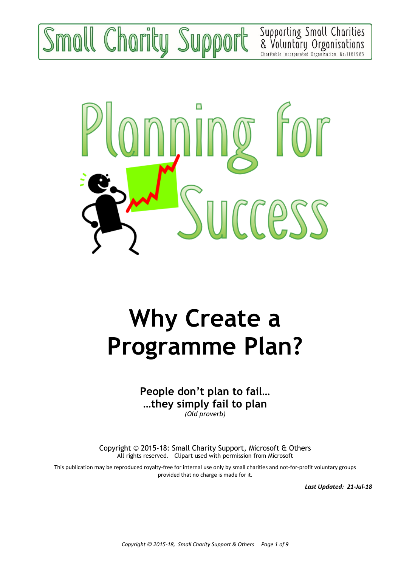# moll Charity Support

Supporting Small Charities<br>& Voluntary Organisations Charitable Incorporated Organisation, No:1161963



## **Why Create a Programme Plan?**

**People don't plan to fail… …they simply fail to plan**

*(Old proverb)*

Copyright © 2015-18: Small Charity Support, Microsoft & Others All rights reserved. Clipart used with permission from Microsoft

This publication may be reproduced royalty-free for internal use only by small charities and not-for-profit voluntary groups provided that no charge is made for it.

*Last Updated: 21-Jul-18*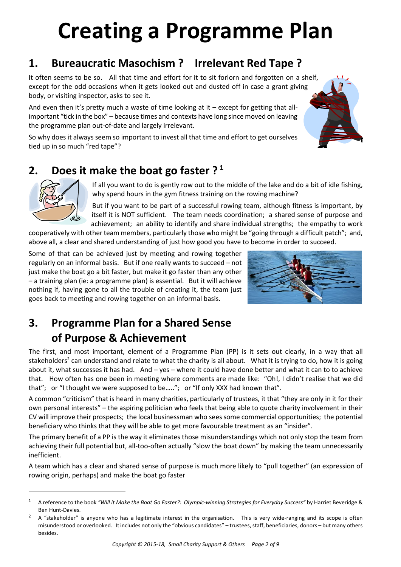## **Creating a Programme Plan**

## **1. Bureaucratic Masochism ? Irrelevant Red Tape ?**

It often seems to be so. All that time and effort for it to sit forlorn and forgotten on a shelf, except for the odd occasions when it gets looked out and dusted off in case a grant giving body, or visiting inspector, asks to see it.

And even then it's pretty much a waste of time looking at it – except for getting that allimportant "tick in the box" – because times and contexts have long since moved on leaving the programme plan out-of-date and largely irrelevant.

So why does it always seem so important to invest all that time and effort to get ourselves tied up in so much "red tape"?



## **2. Does it make the boat go faster ? <sup>1</sup>**



 $\overline{a}$ 

If all you want to do is gently row out to the middle of the lake and do a bit of idle fishing, why spend hours in the gym fitness training on the rowing machine?

But if you want to be part of a successful rowing team, although fitness is important, by itself it is NOT sufficient. The team needs coordination; a shared sense of purpose and achievement; an ability to identify and share individual strengths; the empathy to work

cooperatively with other team members, particularly those who might be "going through a difficult patch"; and, above all, a clear and shared understanding of just how good you have to become in order to succeed.

Some of that can be achieved just by meeting and rowing together regularly on an informal basis. But if one really wants to succeed – not just make the boat go a bit faster, but make it go faster than any other – a training plan (ie: a programme plan) is essential. But it will achieve nothing if, having gone to all the trouble of creating it, the team just goes back to meeting and rowing together on an informal basis.



## **3. Programme Plan for a Shared Sense of Purpose & Achievement**

The first, and most important, element of a Programme Plan (PP) is it sets out clearly, in a way that all stakeholders<sup>2</sup> can understand and relate to what the charity is all about. What it is trying to do, how it is going about it, what successes it has had. And – yes – where it could have done better and what it can to to achieve that. How often has one been in meeting where comments are made like: "Oh!, I didn't realise that we did that"; or "I thought we were supposed to be….."; or "If only XXX had known that".

A common "criticism" that is heard in many charities, particularly of trustees, it that "they are only in it for their own personal interests" – the aspiring politician who feels that being able to quote charity involvement in their CV will improve their prospects; the local businessman who sees some commercial opportunities; the potential beneficiary who thinks that they will be able to get more favourable treatment as an "insider".

The primary benefit of a PP is the way it eliminates those misunderstandings which not only stop the team from achieving their full potential but, all-too-often actually "slow the boat down" by making the team unnecessarily inefficient.

A team which has a clear and shared sense of purpose is much more likely to "pull together" (an expression of rowing origin, perhaps) and make the boat go faster

<sup>1</sup> A reference to the book *"Will it Make the Boat Go Faster?: Olympic-winning Strategies for Everyday Success"* by Harriet Beveridge & Ben Hunt-Davies.

A "stakeholder" is anyone who has a legitimate interest in the organisation. This is very wide-ranging and its scope is often misunderstood or overlooked. It includes not only the "obvious candidates" – trustees, staff, beneficiaries, donors – but many others besides.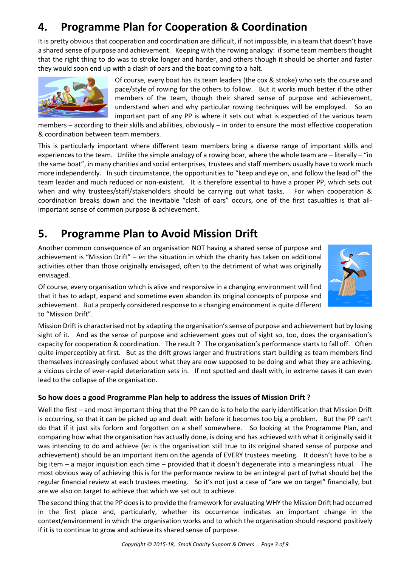## **4. Programme Plan for Cooperation & Coordination**

It is pretty obvious that cooperation and coordination are difficult, if not impossible, in a team that doesn't have a shared sense of purpose and achievement. Keeping with the rowing analogy: if some team members thought that the right thing to do was to stroke longer and harder, and others though it should be shorter and faster they would soon end up with a clash of oars and the boat coming to a halt.



Of course, every boat has its team leaders (the cox & stroke) who sets the course and pace/style of rowing for the others to follow. But it works much better if the other members of the team, though their shared sense of purpose and achievement, understand when and why particular rowing techniques will be employed. So an important part of any PP is where it sets out what is expected of the various team

members – according to their skills and abilities, obviously – in order to ensure the most effective cooperation & coordination between team members.

This is particularly important where different team members bring a diverse range of important skills and experiences to the team. Unlike the simple analogy of a rowing boar, where the whole team are – literally – "in the same boat", in many charities and social enterprises, trustees and staff members usually have to work much more independently. In such circumstance, the opportunities to "keep and eye on, and follow the lead of" the team leader and much reduced or non-existent. It is therefore essential to have a proper PP, which sets out when and why trustees/staff/stakeholders should be carrying out what tasks. For when cooperation & coordination breaks down and the inevitable "clash of oars" occurs, one of the first casualties is that allimportant sense of common purpose & achievement.

## **5. Programme Plan to Avoid Mission Drift**

Another common consequence of an organisation NOT having a shared sense of purpose and achievement is "Mission Drift" – *ie:* the situation in which the charity has taken on additional activities other than those originally envisaged, often to the detriment of what was originally envisaged.



Of course, every organisation which is alive and responsive in a changing environment will find that it has to adapt, expand and sometime even abandon its original concepts of purpose and achievement. But a properly considered response to a changing environment is quite different to "Mission Drift".

Mission Drift is characterised not by adapting the organisation's sense of purpose and achievement but by losing sight of it. And as the sense of purpose and achievement goes out of sight so, too, does the organisation's capacity for cooperation & coordination. The result ? The organisation's performance starts to fall off. Often quite imperceptibly at first. But as the drift grows larger and frustrations start building as team members find themselves increasingly confused about what they are now supposed to be doing and what they are achieving, a vicious circle of ever-rapid deterioration sets in. If not spotted and dealt with, in extreme cases it can even lead to the collapse of the organisation.

#### **So how does a good Programme Plan help to address the issues of Mission Drift ?**

Well the first – and most important thing that the PP can do is to help the early identification that Mission Drift is occurring, so that it can be picked up and dealt with before it becomes too big a problem. But the PP can't do that if it just sits forlorn and forgotten on a shelf somewhere. So looking at the Programme Plan, and comparing how what the organisation has actually done, is doing and has achieved with what it originally said it was intending to do and achieve (*ie:* is the organisation still true to its original shared sense of purpose and achievement) should be an important item on the agenda of EVERY trustees meeting. It doesn't have to be a big item – a major inquisition each time – provided that it doesn't degenerate into a meaningless ritual. The most obvious way of achieving this is for the performance review to be an integral part of (what should be) the regular financial review at each trustees meeting. So it's not just a case of "are we on target" financially, but are we also on target to achieve that which we set out to achieve.

The second thing that the PP does is to provide the framework for evaluating WHY the Mission Drift had occurred in the first place and, particularly, whether its occurrence indicates an important change in the context/environment in which the organisation works and to which the organisation should respond positively if it is to continue to grow and achieve its shared sense of purpose.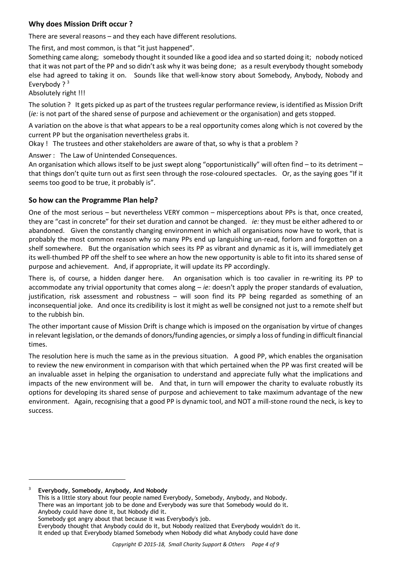#### **Why does Mission Drift occur ?**

There are several reasons – and they each have different resolutions.

The first, and most common, is that "it just happened".

Something came along; somebody thought it sounded like a good idea and so started doing it; nobody noticed that it was not part of the PP and so didn't ask why it was being done; as a result everybody thought somebody else had agreed to taking it on. Sounds like that well-know story about Somebody, Anybody, Nobody and Everybody ? $3$ 

Absolutely right !!!

The solution ? It gets picked up as part of the trustees regular performance review, is identified as Mission Drift (*ie:* is not part of the shared sense of purpose and achievement or the organisation) and gets stopped.

A variation on the above is that what appears to be a real opportunity comes along which is not covered by the current PP but the organisation nevertheless grabs it.

Okay ! The trustees and other stakeholders are aware of that, so why is that a problem ?

Answer : The Law of Unintended Consequences.

An organisation which allows itself to be just swept along "opportunistically" will often find – to its detriment – that things don't quite turn out as first seen through the rose-coloured spectacles. Or, as the saying goes "If it seems too good to be true, it probably is".

#### **So how can the Programme Plan help?**

One of the most serious – but nevertheless VERY common – misperceptions about PPs is that, once created, they are "cast in concrete" for their set duration and cannot be changed. *ie:* they must be either adhered to or abandoned. Given the constantly changing environment in which all organisations now have to work, that is probably the most common reason why so many PPs end up languishing un-read, forlorn and forgotten on a shelf somewhere. But the organisation which sees its PP as vibrant and dynamic as it is, will immediately get its well-thumbed PP off the shelf to see where an how the new opportunity is able to fit into its shared sense of purpose and achievement. And, if appropriate, it will update its PP accordingly.

There is, of course, a hidden danger here. An organisation which is too cavalier in re-writing its PP to accommodate any trivial opportunity that comes along – *ie:* doesn't apply the proper standards of evaluation, justification, risk assessment and robustness – will soon find its PP being regarded as something of an inconsequential joke. And once its credibility is lost it might as well be consigned not just to a remote shelf but to the rubbish bin.

The other important cause of Mission Drift is change which is imposed on the organisation by virtue of changes in relevant legislation, or the demands of donors/funding agencies, or simply a loss of funding in difficult financial times.

The resolution here is much the same as in the previous situation. A good PP, which enables the organisation to review the new environment in comparison with that which pertained when the PP was first created will be an invaluable asset in helping the organisation to understand and appreciate fully what the implications and impacts of the new environment will be. And that, in turn will empower the charity to evaluate robustly its options for developing its shared sense of purpose and achievement to take maximum advantage of the new environment. Again, recognising that a good PP is dynamic tool, and NOT a mill-stone round the neck, is key to success.

<sup>3</sup> **Everybody, Somebody, Anybody, And Nobody**

j

This is a little story about four people named Everybody, Somebody, Anybody, and Nobody. There was an important job to be done and Everybody was sure that Somebody would do it. Anybody could have done it, but Nobody did it. Somebody got angry about that because it was Everybody's job.

Everybody thought that Anybody could do it, but Nobody realized that Everybody wouldn't do it. It ended up that Everybody blamed Somebody when Nobody did what Anybody could have done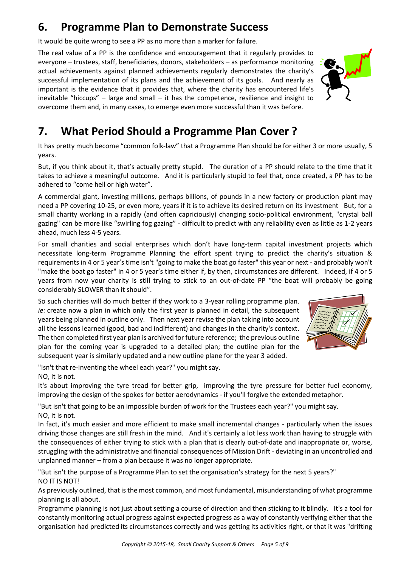## **6. Programme Plan to Demonstrate Success**

It would be quite wrong to see a PP as no more than a marker for failure.

The real value of a PP is the confidence and encouragement that it regularly provides to everyone – trustees, staff, beneficiaries, donors, stakeholders – as performance monitoring actual achievements against planned achievements regularly demonstrates the charity's successful implementation of its plans and the achievement of its goals. And nearly as important is the evidence that it provides that, where the charity has encountered life's inevitable "hiccups" – large and small – it has the competence, resilience and insight to overcome them and, in many cases, to emerge even more successful than it was before.



## **7. What Period Should a Programme Plan Cover ?**

It has pretty much become "common folk-law" that a Programme Plan should be for either 3 or more usually, 5 years.

But, if you think about it, that's actually pretty stupid. The duration of a PP should relate to the time that it takes to achieve a meaningful outcome. And it is particularly stupid to feel that, once created, a PP has to be adhered to "come hell or high water".

A commercial giant, investing millions, perhaps billions, of pounds in a new factory or production plant may need a PP covering 10-25, or even more, years if it is to achieve its desired return on its investment But, for a small charity working in a rapidly (and often capriciously) changing socio-political environment, "crystal ball gazing" can be more like "swirling fog gazing" - difficult to predict with any reliability even as little as 1-2 years ahead, much less 4-5 years.

For small charities and social enterprises which don't have long-term capital investment projects which necessitate long-term Programme Planning the effort spent trying to predict the charity's situation & requirements in 4 or 5 year's time isn't "going to make the boat go faster" this year or next - and probably won't "make the boat go faster" in 4 or 5 year's time either if, by then, circumstances are different. Indeed, if 4 or 5 years from now your charity is still trying to stick to an out-of-date PP "the boat will probably be going considerably SLOWER than it should".

So such charities will do much better if they work to a 3-year rolling programme plan. *ie:* create now a plan in which only the first year is planned in detail, the subsequent years being planned in outline only. Then next year revise the plan taking into account all the lessons learned (good, bad and indifferent) and changes in the charity's context. The then completed first year plan is archived for future reference; the previous outline plan for the coming year is upgraded to a detailed plan; the outline plan for the subsequent year is similarly updated and a new outline plane for the year 3 added.



"Isn't that re-inventing the wheel each year?" you might say.

NO, it is not.

It's about improving the tyre tread for better grip, improving the tyre pressure for better fuel economy, improving the design of the spokes for better aerodynamics - if you'll forgive the extended metaphor.

"But isn't that going to be an impossible burden of work for the Trustees each year?" you might say. NO, it is not.

In fact, it's much easier and more efficient to make small incremental changes - particularly when the issues driving those changes are still fresh in the mind. And it's certainly a lot less work than having to struggle with the consequences of either trying to stick with a plan that is clearly out-of-date and inappropriate or, worse, struggling with the administrative and financial consequences of Mission Drift - deviating in an uncontrolled and unplanned manner – from a plan because it was no longer appropriate.

"But isn't the purpose of a Programme Plan to set the organisation's strategy for the next 5 years?" NO IT IS NOT!

As previously outlined, that is the most common, and most fundamental, misunderstanding of what programme planning is all about.

Programme planning is not just about setting a course of direction and then sticking to it blindly. It's a tool for constantly monitoring actual progress against expected progress as a way of constantly verifying either that the organisation had predicted its circumstances correctly and was getting its activities right, or that it was "drifting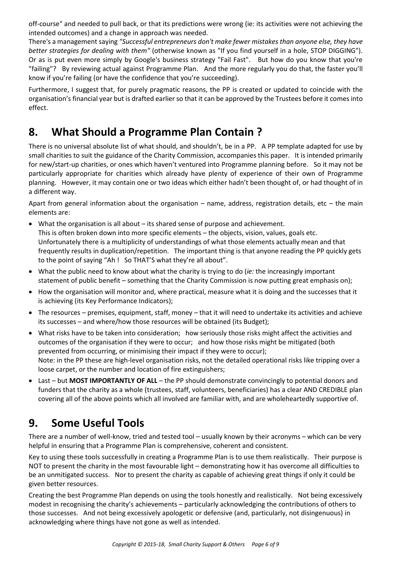off-course" and needed to pull back, or that its predictions were wrong (ie: its activities were not achieving the intended outcomes) and a change in approach was needed.

There's a management saying *"Successful entrepreneurs don't make fewer mistakes than anyone else, they have better strategies for dealing with them"* (otherwise known as "If you find yourself in a hole, STOP DIGGING"). Or as is put even more simply by Google's business strategy "Fail Fast". But how do you know that you're "failing"? By reviewing actual against Programme Plan. And the more regularly you do that, the faster you'll know if you're failing (or have the confidence that you're succeeding).

Furthermore, I suggest that, for purely pragmatic reasons, the PP is created or updated to coincide with the organisation's financial year but is drafted earlier so that it can be approved by the Trustees before it comes into effect.

## **8. What Should a Programme Plan Contain ?**

There is no universal absolute list of what should, and shouldn't, be in a PP. A PP template adapted for use by small charities to suit the guidance of the Charity Commission, accompanies this paper. It is intended primarily for new/start-up charities, or ones which haven't ventured into Programme planning before. So it may not be particularly appropriate for charities which already have plenty of experience of their own of Programme planning. However, it may contain one or two ideas which either hadn't been thought of, or had thought of in a different way.

Apart from general information about the organisation – name, address, registration details, etc – the main elements are:

- What the organisation is all about its shared sense of purpose and achievement. This is often broken down into more specific elements – the objects, vision, values, goals etc. Unfortunately there is a multiplicity of understandings of what those elements actually mean and that frequently results in duplication/repetition. The important thing is that anyone reading the PP quickly gets to the point of saying "Ah ! So THAT'S what they're all about".
- What the public need to know about what the charity is trying to do (*ie:* the increasingly important statement of public benefit – something that the Charity Commission is now putting great emphasis on);
- How the organisation will monitor and, where practical, measure what it is doing and the successes that it is achieving (its Key Performance Indicators);
- The resources premises, equipment, staff, money that it will need to undertake its activities and achieve its successes – and where/how those resources will be obtained (its Budget);
- What risks have to be taken into consideration; how seriously those risks might affect the activities and outcomes of the organisation if they were to occur; and how those risks might be mitigated (both prevented from occurring, or minimising their impact if they were to occur); Note: in the PP these are high-level organisation risks, not the detailed operational risks like tripping over a loose carpet, or the number and location of fire extinguishers;
- Last but **MOST IMPORTANTLY OF ALL** the PP should demonstrate convincingly to potential donors and funders that the charity as a whole (trustees, staff, volunteers, beneficiaries) has a clear AND CREDIBLE plan covering all of the above points which all involved are familiar with, and are wholeheartedly supportive of.

## **9. Some Useful Tools**

There are a number of well-know, tried and tested tool – usually known by their acronyms – which can be very helpful in ensuring that a Programme Plan is comprehensive, coherent and consistent.

Key to using these tools successfully in creating a Programme Plan is to use them realistically. Their purpose is NOT to present the charity in the most favourable light – demonstrating how it has overcome all difficulties to be an unmitigated success. Nor to present the charity as capable of achieving great things if only it could be given better resources.

Creating the best Programme Plan depends on using the tools honestly and realistically. Not being excessively modest in recognising the charity's achievements – particularly acknowledging the contributions of others to those successes. And not being excessively apologetic or defensive (and, particularly, not disingenuous) in acknowledging where things have not gone as well as intended.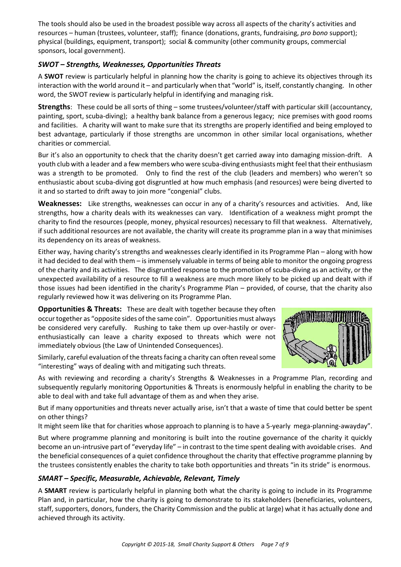The tools should also be used in the broadest possible way across all aspects of the charity's activities and resources – human (trustees, volunteer, staff); finance (donations, grants, fundraising, *pro bono* support); physical (buildings, equipment, transport); social & community (other community groups, commercial sponsors, local government).

#### *SWOT – Strengths, Weaknesses, Opportunities Threats*

A **SWOT** review is particularly helpful in planning how the charity is going to achieve its objectives through its interaction with the world around it – and particularly when that "world" is, itself, constantly changing. In other word, the SWOT review is particularly helpful in identifying and managing risk.

**Strengths**: These could be all sorts of thing – some trustees/volunteer/staff with particular skill (accountancy, painting, sport, scuba-diving); a healthy bank balance from a generous legacy; nice premises with good rooms and facilities. A charity will want to make sure that its strengths are properly identified and being employed to best advantage, particularly if those strengths are uncommon in other similar local organisations, whether charities or commercial.

Bur it's also an opportunity to check that the charity doesn't get carried away into damaging mission-drift. A youth club with a leader and a few members who were scuba-diving enthusiasts might feel that their enthusiasm was a strength to be promoted. Only to find the rest of the club (leaders and members) who weren't so enthusiastic about scuba-diving got disgruntled at how much emphasis (and resources) were being diverted to it and so started to drift away to join more "congenial" clubs.

**Weaknesses:** Like strengths, weaknesses can occur in any of a charity's resources and activities. And, like strengths, how a charity deals with its weaknesses can vary. Identification of a weakness might prompt the charity to find the resources (people, money, physical resources) necessary to fill that weakness. Alternatively, if such additional resources are not available, the charity will create its programme plan in a way that minimises its dependency on its areas of weakness.

Either way, having charity's strengths and weaknesses clearly identified in its Programme Plan – along with how it had decided to deal with them – is immensely valuable in terms of being able to monitor the ongoing progress of the charity and its activities. The disgruntled response to the promotion of scuba-diving as an activity, or the unexpected availability of a resource to fill a weakness are much more likely to be picked up and dealt with if those issues had been identified in the charity's Programme Plan – provided, of course, that the charity also regularly reviewed how it was delivering on its Programme Plan.

**Opportunities & Threats:** These are dealt with together because they often occur together as "opposite sides of the same coin". Opportunities must always be considered very carefully. Rushing to take them up over-hastily or overenthusiastically can leave a charity exposed to threats which were not immediately obvious (the Law of Unintended Consequences).

Similarly, careful evaluation of the threats facing a charity can often reveal some "interesting" ways of dealing with and mitigating such threats.



As with reviewing and recording a charity's Strengths & Weaknesses in a Programme Plan, recording and subsequently regularly monitoring Opportunities & Threats is enormously helpful in enabling the charity to be able to deal with and take full advantage of them as and when they arise.

But if many opportunities and threats never actually arise, isn't that a waste of time that could better be spent on other things?

It might seem like that for charities whose approach to planning is to have a 5-yearly mega-planning-awayday".

But where programme planning and monitoring is built into the routine governance of the charity it quickly become an un-intrusive part of "everyday life" – in contrast to the time spent dealing with avoidable crises. And the beneficial consequences of a quiet confidence throughout the charity that effective programme planning by the trustees consistently enables the charity to take both opportunities and threats "in its stride" is enormous.

#### *SMART – Specific, Measurable, Achievable, Relevant, Timely*

A **SMART** review is particularly helpful in planning both what the charity is going to include in its Programme Plan and, in particular, how the charity is going to demonstrate to its stakeholders (beneficiaries, volunteers, staff, supporters, donors, funders, the Charity Commission and the public at large) what it has actually done and achieved through its activity.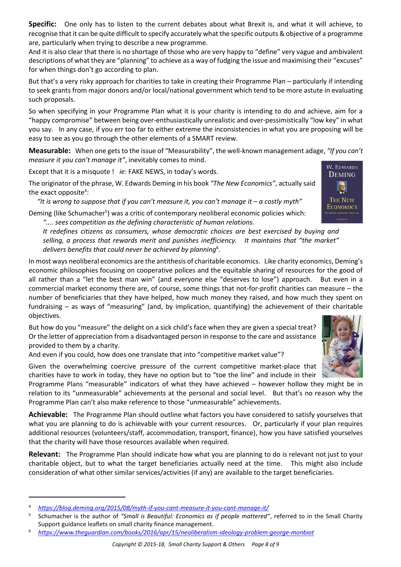**Specific:** One only has to listen to the current debates about what Brexit is, and what it will achieve, to recognise that it can be quite difficult to specify accurately what the specific outputs & objective of a programme are, particularly when trying to describe a new programme.

And it is also clear that there is no shortage of those who are very happy to "define" very vague and ambivalent descriptions of what they are "planning" to achieve as a way of fudging the issue and maximising their "excuses" for when things don't go according to plan.

But that's a very risky approach for charities to take in creating their Programme Plan – particularly if intending to seek grants from major donors and/or local/national government which tend to be more astute in evaluating such proposals.

So when specifying in your Programme Plan what it is your charity is intending to do and achieve, aim for a "happy compromise" between being over-enthusiastically unrealistic and over-pessimistically "low key" in what you say. In any case, if you err too far to either extreme the inconsistencies in what you are proposing will be easy to see as you go through the other elements of a SMART review.

**Measurable:** When one gets to the issue of "Measurability", the well-known management adage, *"If you can't measure it you can't manage it"*, inevitably comes to mind.

Except that it is a misquote ! *ie:* FAKE NEWS, in today's words.

The originator of the phrase, W. Edwards Deming in his book *"The New Economics"*, actually said the exact opposite<sup>4</sup>:

 *"It is wrong to suppose that if you can't measure it, you can't manage it – a costly myth"* Deming (like Schumacher<sup>5</sup>) was a critic of contemporary neoliberal economic policies which:

*".... sees competition as the defining characteristic of human relations.*

*It redefines citizens as consumers, whose democratic choices are best exercised by buying and selling, a process that rewards merit and punishes inefficiency. It maintains that "the market" delivers benefits that could never be achieved by planning*<sup>6</sup> .

In most ways neoliberal economics are the antithesis of charitable economics. Like charity economics, Deming's economic philosophies focusing on cooperative polices and the equitable sharing of resources for the good of all rather than a "let the best man win" (and everyone else "deserves to lose") approach. But even in a commercial market economy there are, of course, some things that not-for-profit charities can measure – the number of beneficiaries that they have helped, how much money they raised, and how much they spent on fundraising – as ways of "measuring" (and, by implication, quantifying) the achievement of their charitable objectives.

But how do you "measure" the delight on a sick child's face when they are given a special treat? Or the letter of appreciation from a disadvantaged person in response to the care and assistance provided to them by a charity.

And even if you could, how does one translate that into "competitive market value"?

Given the overwhelming coercive pressure of the current competitive market-place that charities have to work in today, they have no option but to "toe the line" and include in their

Programme Plans "measurable" indicators of what they have achieved – however hollow they might be in relation to its "unmeasurable" achievements at the personal and social level. But that's no reason why the Programme Plan can't also make reference to those "unmeasurable" achievements.

**Achievable:** The Programme Plan should outline what factors you have considered to satisfy yourselves that what you are planning to do is achievable with your current resources. Or, particularly if your plan requires additional resources (volunteers/staff, accommodation, transport, finance), how you have satisfied yourselves that the charity will have those resources available when required.

**Relevant:** The Programme Plan should indicate how what you are planning to do is relevant not just to your charitable object, but to what the target beneficiaries actually need at the time. This might also include consideration of what other similar services/activities (if any) are available to the target beneficiaries.

 $\overline{a}$ 





<sup>4</sup> *<https://blog.deming.org/2015/08/myth-if-you-cant-measure-it-you-cant-manage-it/>*

<sup>5</sup> Schumacher is the author of *"Small is Beautiful: Economics as if people mattered"*, referred to in the Small Charity Support guidance leaflets on small charity finance management.

<sup>6</sup> *<https://www.theguardian.com/books/2016/apr/15/neoliberalism-ideology-problem-george-monbiot>*